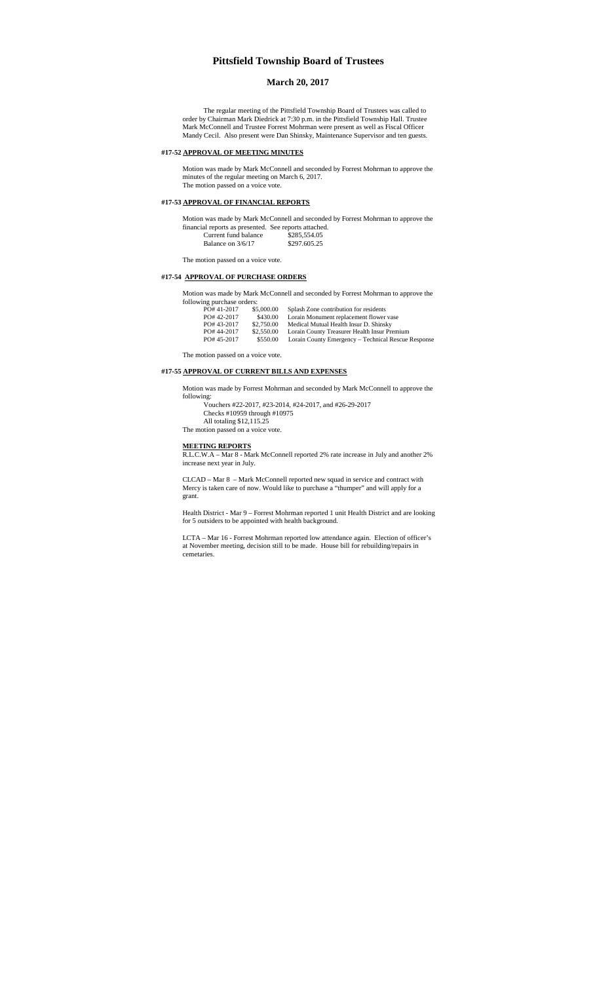# **Pittsfield Township Board of Trustees**

## **March 20, 2017**

The regular meeting of the Pittsfield Township Board of Trustees was called to order by Chairman Mark Diedrick at 7:30 p.m. in the Pittsfield Township Hall. Trustee Mark McConnell and Trustee Forrest Mohrman were present as well as Fiscal Officer Mandy Cecil. Also present were Dan Shinsky, Maintenance Supervisor and ten guests.

## **#17-52 APPROVAL OF MEETING MINUTES**

Motion was made by Mark McConnell and seconded by Forrest Mohrman to approve the minutes of the regular meeting on March 6, 2017. The motion passed on a voice vote.

#### **#17-53 APPROVAL OF FINANCIAL REPORTS**

Motion was made by Mark McConnell and seconded by Forrest Mohrman to approve the financial reports as presented. See reports attached. Current fund balance \$285,554.05 Balance on 3/6/17 \$297.605.25

The motion passed on a voice vote.

## **#17-54 APPROVAL OF PURCHASE ORDERS**

Motion was made by Mark McConnell and seconded by Forrest Mohrman to approve the following purchase order

| ming purchase orders. |            |                                                     |
|-----------------------|------------|-----------------------------------------------------|
| PO#41-2017            | \$5,000.00 | Splash Zone contribution for residents              |
| PO#42-2017            | \$430.00   | Lorain Monument replacement flower vase             |
| PO#43-2017            | \$2,750.00 | Medical Mutual Health Insur D. Shinsky              |
| PO#44-2017            | \$2,550.00 | Lorain County Treasurer Health Insur Premium        |
| PO#45-2017            | \$550.00   | Lorain County Emergency – Technical Rescue Response |
|                       |            |                                                     |

The motion passed on a voice vote.

## **#17-55 APPROVAL OF CURRENT BILLS AND EXPENSES**

Motion was made by Forrest Mohrman and seconded by Mark McConnell to approve the

following:

Vouchers #22-2017, #23-2014, #24-2017, and #26-29-2017 Checks #10959 through #10975 All totaling \$12,115.25

The motion passed on a voice vote.

#### **MEETING REPORTS**

R.L.C.W.A – Mar 8 - Mark McConnell reported 2% rate increase in July and another 2% increase next year in July.

CLCAD – Mar 8 – Mark McConnell reported new squad in service and contract with Mercy is taken care of now. Would like to purchase a "thumper" and will apply for a grant.

Health District - Mar 9 – Forrest Mohrman reported 1 unit Health District and are looking for 5 outsiders to be appointed with health background.

LCTA – Mar 16 - Forrest Mohrman reported low attendance again. Election of officer's at November meeting, decision still to be made. House bill for rebuilding/repairs in cemetaries.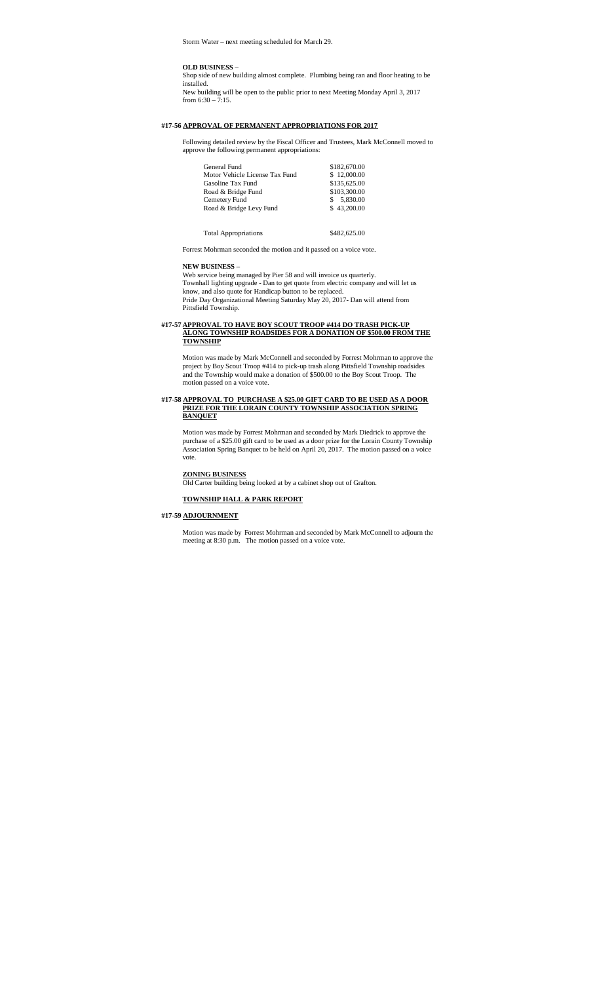Storm Water – next meeting scheduled for March 29.

#### **OLD BUSINESS** –

Shop side of new building almost complete. Plumbing being ran and floor heating to be installed. New building will be open to the public prior to next Meeting Monday April 3, 2017

from  $6:30 - 7:15$ .

## **#17-56 APPROVAL OF PERMANENT APPROPRIATIONS FOR 2017**

Following detailed review by the Fiscal Officer and Trustees, Mark McConnell moved to approve the following permanent appropriations:

| General Fund                   | \$182,670.00   |
|--------------------------------|----------------|
| Motor Vehicle License Tax Fund | \$12,000.00    |
| Gasoline Tax Fund              | \$135,625.00   |
| Road & Bridge Fund             | \$103,300.00   |
| Cemetery Fund                  | 5,830.00<br>S. |
| Road & Bridge Levy Fund        | \$43,200,00    |
|                                |                |
|                                |                |

Total Appropriations \$482,625.00

Forrest Mohrman seconded the motion and it passed on a voice vote.

### **NEW BUSINESS –**

Web service being managed by Pier 58 and will invoice us quarterly. Townhall lighting upgrade - Dan to get quote from electric company and will let us know, and also quote for Handicap button to be replaced. Pride Day Organizational Meeting Saturday May 20, 2017- Dan will attend from Pittsfield Township.

#### **#17-57 APPROVAL TO HAVE BOY SCOUT TROOP #414 DO TRASH PICK-UP ALONG TOWNSHIP ROADSIDES FOR A DONATION OF \$500.00 FROM THE TOWNSHIP**

Motion was made by Mark McConnell and seconded by Forrest Mohrman to approve the project by Boy Scout Troop #414 to pick-up trash along Pittsfield Township roadsides and the Township would make a donation of \$500.00 to the Boy Scout Troop. The motion passed on a voice vote.

#### **#17-58 APPROVAL TO PURCHASE A \$25.00 GIFT CARD TO BE USED AS A DOOR PRIZE FOR THE LORAIN COUNTY TOWNSHIP ASSOCIATION SPRING BANQUET**

Motion was made by Forrest Mohrman and seconded by Mark Diedrick to approve the purchase of a \$25.00 gift card to be used as a door prize for the Lorain County Township Association Spring Banquet to be held on April 20, 2017. The motion passed on a voice vote.

# **ZONING BUSINESS**

Old Carter building being looked at by a cabinet shop out of Grafton.

# **TOWNSHIP HALL & PARK REPORT**

#### **#17-59 ADJOURNMENT**

Motion was made by Forrest Mohrman and seconded by Mark McConnell to adjourn the meeting at 8:30 p.m. The motion passed on a voice vote.